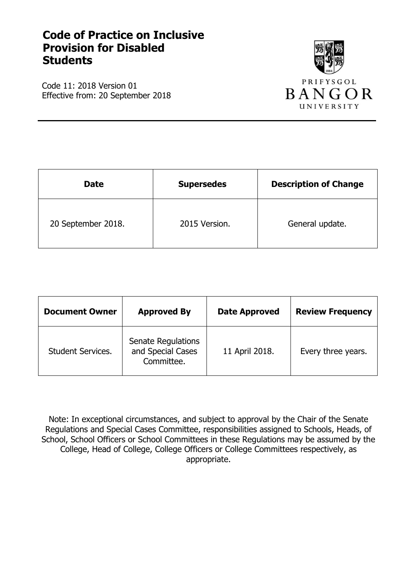# **Code of Practice on Inclusive Provision for Disabled Students**

Code 11: 2018 Version 01 Effective from: 20 September 2018



| <b>Date</b>        | <b>Supersedes</b> | <b>Description of Change</b> |
|--------------------|-------------------|------------------------------|
| 20 September 2018. | 2015 Version.     | General update.              |

| <b>Document Owner</b>    | <b>Approved By</b>                                    | <b>Date Approved</b> | <b>Review Frequency</b> |
|--------------------------|-------------------------------------------------------|----------------------|-------------------------|
| <b>Student Services.</b> | Senate Regulations<br>and Special Cases<br>Committee. | 11 April 2018.       | Every three years.      |

Note: In exceptional circumstances, and subject to approval by the Chair of the Senate Regulations and Special Cases Committee, responsibilities assigned to Schools, Heads, of School, School Officers or School Committees in these Regulations may be assumed by the College, Head of College, College Officers or College Committees respectively, as appropriate.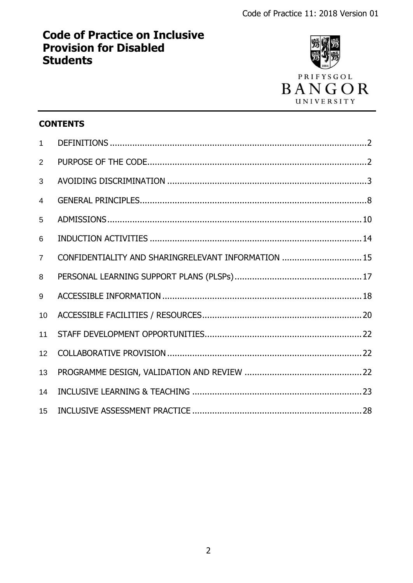# **Code of Practice on Inclusive Provision for Disabled Students**



# **CONTENTS**

<span id="page-1-0"></span>

| $\mathbf{1}$   |                                                     |  |
|----------------|-----------------------------------------------------|--|
| $\overline{2}$ |                                                     |  |
| 3              |                                                     |  |
| $\overline{4}$ |                                                     |  |
| 5              |                                                     |  |
| 6              |                                                     |  |
| $\overline{7}$ | CONFIDENTIALITY AND SHARINGRELEVANT INFORMATION  15 |  |
| 8              |                                                     |  |
| 9              |                                                     |  |
| 10             |                                                     |  |
| 11             |                                                     |  |
| 12             |                                                     |  |
| 13             |                                                     |  |
| 14             |                                                     |  |
| 15             |                                                     |  |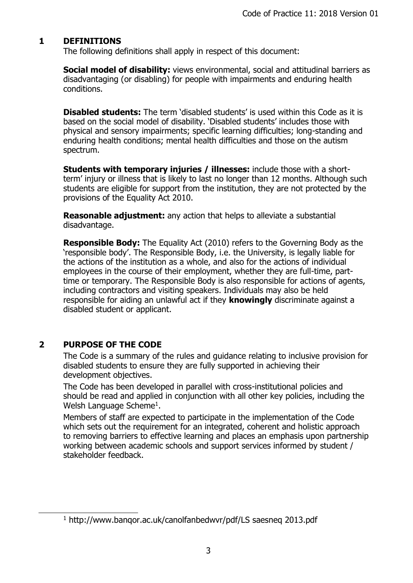# **1 DEFINITIONS**

The following definitions shall apply in respect of this document:

**Social model of disability:** views environmental, social and attitudinal barriers as disadvantaging (or disabling) for people with impairments and enduring health conditions.

**Disabled students:** The term 'disabled students' is used within this Code as it is based on the social model of disability. 'Disabled students' includes those with physical and sensory impairments; specific learning difficulties; long-standing and enduring health conditions; mental health difficulties and those on the autism spectrum.

**Students with temporary injuries / illnesses:** include those with a shortterm' injury or illness that is likely to last no longer than 12 months. Although such students are eligible for support from the institution, they are not protected by the provisions of the Equality Act 2010.

**Reasonable adjustment:** any action that helps to alleviate a substantial disadvantage.

**Responsible Body:** The Equality Act (2010) refers to the Governing Body as the 'responsible body'. The Responsible Body, i.e. the University, is legally liable for the actions of the institution as a whole, and also for the actions of individual employees in the course of their employment, whether they are full-time, parttime or temporary. The Responsible Body is also responsible for actions of agents, including contractors and visiting speakers. Individuals may also be held responsible for aiding an unlawful act if they **knowingly** discriminate against a disabled student or applicant.

# <span id="page-2-0"></span>**2 PURPOSE OF THE CODE**

 $\overline{a}$ 

The Code is a summary of the rules and guidance relating to inclusive provision for disabled students to ensure they are fully supported in achieving their development objectives.

The Code has been developed in parallel with cross-institutional policies and should be read and applied in conjunction with all other key policies, including the Welsh Language Scheme<sup>1</sup>.

Members of staff are expected to participate in the implementation of the Code which sets out the requirement for an integrated, coherent and holistic approach to removing barriers to effective learning and places an emphasis upon partnership working between academic schools and support services informed by student / stakeholder feedback.

<sup>1</sup> <http://www.banqor.ac.uk/canolfanbedwvr/pdf/LS> saesneq 2013.pdf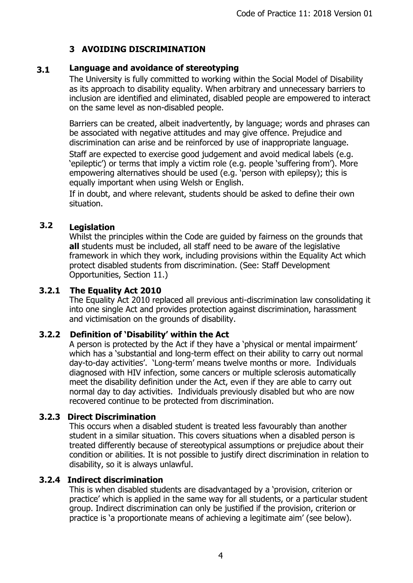# **3 AVOIDING DISCRIMINATION**

#### **Language and avoidance of stereotyping 3.1**

The University is fully committed to working within the Social Model of Disability as its approach to disability equality. When arbitrary and unnecessary barriers to inclusion are identified and eliminated, disabled people are empowered to interact on the same level as non-disabled people.

Barriers can be created, albeit inadvertently, by language; words and phrases can be associated with negative attitudes and may give offence. Prejudice and discrimination can arise and be reinforced by use of inappropriate language.

Staff are expected to exercise good judgement and avoid medical labels (e.g. 'epileptic') or terms that imply a victim role (e.g. people 'suffering from'). More empowering alternatives should be used (e.g. 'person with epilepsy); this is equally important when using Welsh or English.

If in doubt, and where relevant, students should be asked to define their own situation.

#### **Legislation 3.2**

Whilst the principles within the Code are guided by fairness on the grounds that **all** students must be included, all staff need to be aware of the legislative framework in which they work, including provisions within the Equality Act which protect disabled students from discrimination. (See: Staff Development Opportunities, Section 11.)

# **3.2.1 The Equality Act 2010**

The Equality Act 2010 replaced all previous anti-discrimination law consolidating it into one single Act and provides protection against discrimination, harassment and victimisation on the grounds of disability.

# **3.2.2 Definition of 'Disability' within the Act**

A person is protected by the Act if they have a 'physical or mental impairment' which has a 'substantial and long-term effect on their ability to carry out normal day-to-day activities'. 'Long-term' means twelve months or more. Individuals diagnosed with HIV infection, some cancers or multiple sclerosis automatically meet the disability definition under the Act, even if they are able to carry out normal day to day activities. Individuals previously disabled but who are now recovered continue to be protected from discrimination.

# **3.2.3 Direct Discrimination**

This occurs when a disabled student is treated less favourably than another student in a similar situation. This covers situations when a disabled person is treated differently because of stereotypical assumptions or prejudice about their condition or abilities. It is not possible to justify direct discrimination in relation to disability, so it is always unlawful.

# **3.2.4 Indirect discrimination**

This is when disabled students are disadvantaged by a 'provision, criterion or practice' which is applied in the same way for all students, or a particular student group. Indirect discrimination can only be justified if the provision, criterion or practice is 'a proportionate means of achieving a legitimate aim' (see below).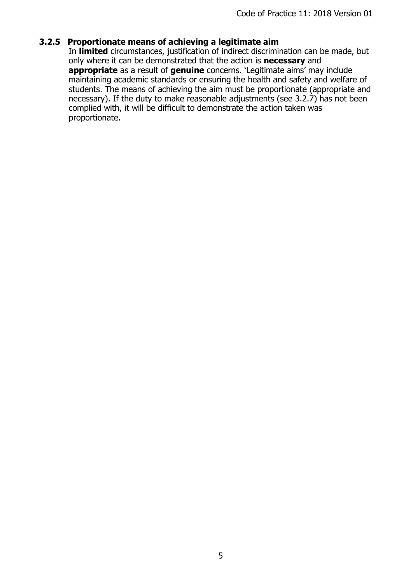# **3.2.5 Proportionate means of achieving a legitimate aim**

In **limited** circumstances, justification of indirect discrimination can be made, but only where it can be demonstrated that the action is **necessary** and **appropriate** as a result of **genuine** concerns. 'Legitimate aims' may include maintaining academic standards or ensuring the health and safety and welfare of students. The means of achieving the aim must be proportionate (appropriate and necessary). If the duty to make reasonable adjustments (see 3.2.7) has not been complied with, it will be difficult to demonstrate the action taken was proportionate.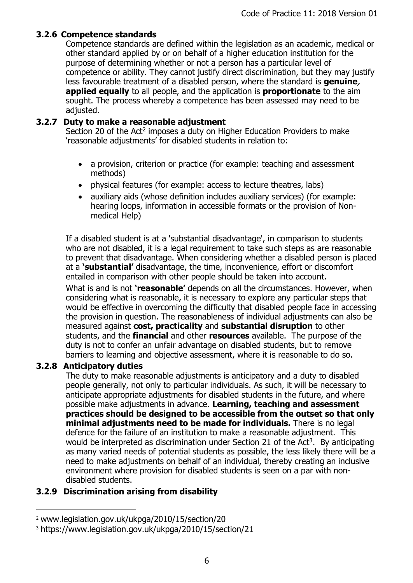### **3.2.6 Competence standards**

Competence standards are defined within the legislation as an academic, medical or other standard applied by or on behalf of a higher education institution for the purpose of determining whether or not a person has a particular level of competence or ability. They cannot justify direct discrimination, but they may justify less favourable treatment of a disabled person, where the standard is **genuine**, **applied equally** to all people, and the application is **proportionate** to the aim sought. The process whereby a competence has been assessed may need to be adjusted.

### **3.2.7 Duty to make a reasonable adjustment**

Section 20 of the Act<sup>2</sup> imposes a duty on Higher Education Providers to make 'reasonable adjustments' for disabled students in relation to:

- a provision, criterion or practice (for example: teaching and assessment methods)
- physical features (for example: access to lecture theatres, labs)
- auxiliary aids (whose definition includes auxiliary services) (for example: hearing loops, information in accessible formats or the provision of Nonmedical Help)

If a disabled student is at a 'substantial disadvantage', in comparison to students who are not disabled, it is a legal requirement to take such steps as are reasonable to prevent that disadvantage. When considering whether a disabled person is placed at a **'substantial'** disadvantage, the time, inconvenience, effort or discomfort entailed in comparison with other people should be taken into account.

What is and is not **'reasonable'** depends on all the circumstances. However, when considering what is reasonable, it is necessary to explore any particular steps that would be effective in overcoming the difficulty that disabled people face in accessing the provision in question. The reasonableness of individual adjustments can also be measured against **cost, practicality** and **substantial disruption** to other students, and the **financial** and other **resources** available. The purpose of the duty is not to confer an unfair advantage on disabled students, but to remove barriers to learning and objective assessment, where it is reasonable to do so.

### **3.2.8 Anticipatory duties**

 $\overline{a}$ 

The duty to make reasonable adjustments is anticipatory and a duty to disabled people generally, not only to particular individuals. As such, it will be necessary to anticipate appropriate adjustments for disabled students in the future, and where possible make adjustments in advance. **Learning, teaching and assessment practices should be designed to be accessible from the outset so that only minimal adjustments need to be made for individuals.** There is no legal defence for the failure of an institution to make a reasonable adjustment. This would be interpreted as discrimination under Section 21 of the Act<sup>3</sup>. By anticipating as many varied needs of potential students as possible, the less likely there will be a need to make adjustments on behalf of an individual, thereby creating an inclusive environment where provision for disabled students is seen on a par with nondisabled students.

# **3.2.9 Discrimination arising from disability**

<sup>2</sup> www.legislation.gov.uk/ukpga/2010/15/section/20

<sup>3</sup> https://www.legislation.gov.uk/ukpga/2010/15/section/21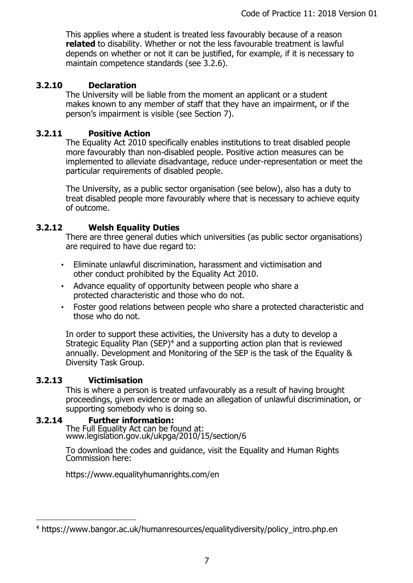This applies where a student is treated less favourably because of a reason **related** to disability. Whether or not the less favourable treatment is lawful depends on whether or not it can be justified, for example, if it is necessary to maintain competence standards (see 3.2.6).

# **3.2.10 Declaration**

The University will be liable from the moment an applicant or a student makes known to any member of staff that they have an impairment, or if the person's impairment is visible (see Section 7).

# **3.2.11 Positive Action**

The Equality Act 2010 specifically enables institutions to treat disabled people more favourably than non-disabled people. Positive action measures can be implemented to alleviate disadvantage, reduce under-representation or meet the particular requirements of disabled people.

The University, as a public sector organisation (see below), also has a duty to treat disabled people more favourably where that is necessary to achieve equity of outcome.

# **3.2.12 Welsh Equality Duties**

There are three general duties which universities (as public sector organisations) are required to have due regard to:

- Eliminate unlawful discrimination, harassment and victimisation and other conduct prohibited by the Equality Act 2010.
- Advance equality of opportunity between people who share a protected characteristic and those who do not.
- Foster good relations between people who share a protected characteristic and those who do not.

In order to support these activities, the University has a duty to develop a Strategic Equality Plan (SEP)<sup>4</sup> and a supporting action plan that is reviewed annually. Development and Monitoring of the SEP is the task of the Equality & Diversity Task Group.

# **3.2.13 Victimisation**

 $\overline{a}$ 

This is where a person is treated unfavourably as a result of having brought proceedings, given evidence or made an allegation of unlawful discrimination, or supporting somebody who is doing so.

# **3.2.14 Further information:**

The Full Equality Act can be found at: www.legislation.gov.uk/ukpga/2010/15/section/6

To download the codes and guidance, visit the Equality and Human Rights Commission here:

https://www.equalityhumanrights.com/en

<sup>4</sup> https://www.bangor.ac.uk/humanresources/equalitydiversity/policy\_intro.php.en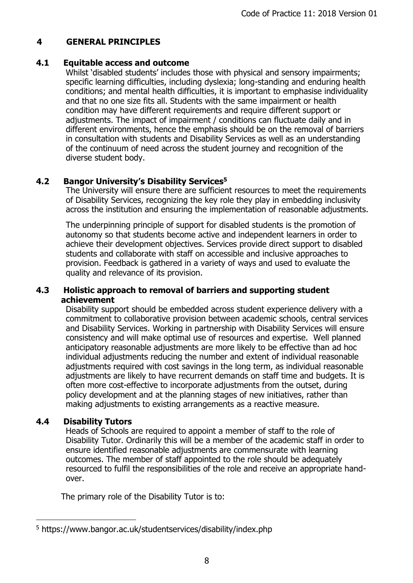# <span id="page-7-0"></span>**4 GENERAL PRINCIPLES**

### **4.1 Equitable access and outcome**

Whilst 'disabled students' includes those with physical and sensory impairments; specific learning difficulties, including dyslexia; long-standing and enduring health conditions; and mental health difficulties, it is important to emphasise individuality and that no one size fits all. Students with the same impairment or health condition may have different requirements and require different support or adjustments. The impact of impairment / conditions can fluctuate daily and in different environments, hence the emphasis should be on the removal of barriers in consultation with students and Disability Services as well as an understanding of the continuum of need across the student journey and recognition of the diverse student body.

# **4.2 Bangor University's Disability Services<sup>5</sup>**

The University will ensure there are sufficient resources to meet the requirements of Disability Services, recognizing the key role they play in embedding inclusivity across the institution and ensuring the implementation of reasonable adjustments.

The underpinning principle of support for disabled students is the promotion of autonomy so that students become active and independent learners in order to achieve their development objectives. Services provide direct support to disabled students and collaborate with staff on accessible and inclusive approaches to provision. Feedback is gathered in a variety of ways and used to evaluate the quality and relevance of its provision.

### **4.3 Holistic approach to removal of barriers and supporting student achievement**

Disability support should be embedded across student experience delivery with a commitment to collaborative provision between academic schools, central services and Disability Services. Working in partnership with Disability Services will ensure consistency and will make optimal use of resources and expertise. Well planned anticipatory reasonable adjustments are more likely to be effective than ad hoc individual adjustments reducing the number and extent of individual reasonable adjustments required with cost savings in the long term, as individual reasonable adjustments are likely to have recurrent demands on staff time and budgets. It is often more cost-effective to incorporate adjustments from the outset, during policy development and at the planning stages of new initiatives, rather than making adjustments to existing arrangements as a reactive measure.

# **4.4 Disability Tutors**

 $\overline{a}$ 

Heads of Schools are required to appoint a member of staff to the role of Disability Tutor. Ordinarily this will be a member of the academic staff in order to ensure identified reasonable adjustments are commensurate with learning outcomes. The member of staff appointed to the role should be adequately resourced to fulfil the responsibilities of the role and receive an appropriate handover.

The primary role of the Disability Tutor is to:

<sup>5</sup> https://www.bangor.ac.uk/studentservices/disability/index.php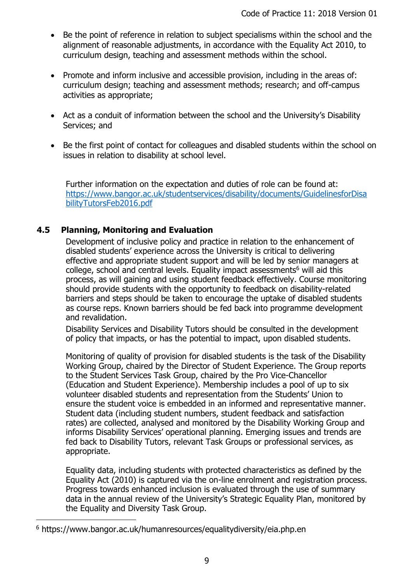- Be the point of reference in relation to subject specialisms within the school and the alignment of reasonable adjustments, in accordance with the Equality Act 2010, to curriculum design, teaching and assessment methods within the school.
- Promote and inform inclusive and accessible provision, including in the areas of: curriculum design; teaching and assessment methods; research; and off-campus activities as appropriate;
- Act as a conduit of information between the school and the University's Disability Services; and
- Be the first point of contact for colleagues and disabled students within the school on issues in relation to disability at school level.

Further information on the expectation and duties of role can be found at: [https://www.bangor.ac.uk/studentservices/disability/documents/GuidelinesforDisa](https://www.bangor.ac.uk/studentservices/disability/documents/GuidelinesforDisabilityTutorsFeb2016.pdf) [bilityTutorsFeb2016.pdf](https://www.bangor.ac.uk/studentservices/disability/documents/GuidelinesforDisabilityTutorsFeb2016.pdf)

# **4.5 Planning, Monitoring and Evaluation**

Development of inclusive policy and practice in relation to the enhancement of disabled students' experience across the University is critical to delivering effective and appropriate student support and will be led by senior managers at college, school and central levels. Equality impact assessments<sup>6</sup> will aid this process, as will gaining and using student feedback effectively. Course monitoring should provide students with the opportunity to feedback on disability-related barriers and steps should be taken to encourage the uptake of disabled students as course reps. Known barriers should be fed back into programme development and revalidation.

Disability Services and Disability Tutors should be consulted in the development of policy that impacts, or has the potential to impact, upon disabled students.

Monitoring of quality of provision for disabled students is the task of the Disability Working Group, chaired by the Director of Student Experience. The Group reports to the Student Services Task Group, chaired by the Pro Vice-Chancellor (Education and Student Experience). Membership includes a pool of up to six volunteer disabled students and representation from the Students' Union to ensure the student voice is embedded in an informed and representative manner. Student data (including student numbers, student feedback and satisfaction rates) are collected, analysed and monitored by the Disability Working Group and informs Disability Services' operational planning. Emerging issues and trends are fed back to Disability Tutors, relevant Task Groups or professional services, as appropriate.

Equality data, including students with protected characteristics as defined by the Equality Act (2010) is captured via the on-line enrolment and registration process. Progress towards enhanced inclusion is evaluated through the use of summary data in the annual review of the University's Strategic Equality Plan, monitored by the Equality and Diversity Task Group.

 $\overline{a}$ 

<sup>6</sup> https://www.bangor.ac.uk/humanresources/equalitydiversity/eia.php.en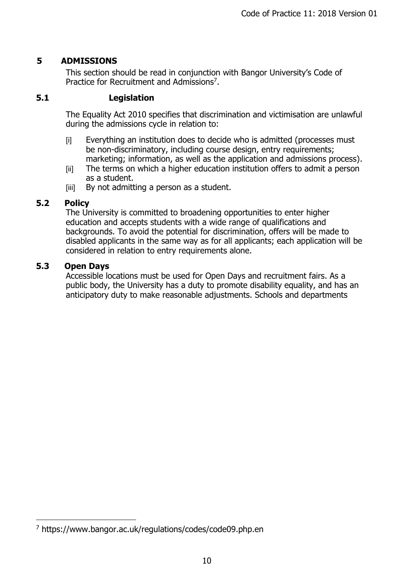# <span id="page-9-0"></span>**5 ADMISSIONS**

This section should be read in conjunction with Bangor University's Code of Practice for Recruitment and Admissions<sup>7</sup>.

### **5.1 Legislation**

The Equality Act 2010 specifies that discrimination and victimisation are unlawful during the admissions cycle in relation to:

- [i] Everything an institution does to decide who is admitted (processes must be non-discriminatory, including course design, entry requirements; marketing; information, as well as the application and admissions process).
- [ii] The terms on which a higher education institution offers to admit a person as a student.
- [iii] By not admitting a person as a student.

# **5.2 Policy**

The University is committed to broadening opportunities to enter higher education and accepts students with a wide range of qualifications and backgrounds. To avoid the potential for discrimination, offers will be made to disabled applicants in the same way as for all applicants; each application will be considered in relation to entry requirements alone.

### **5.3 Open Days**

 $\overline{a}$ 

Accessible locations must be used for Open Days and recruitment fairs. As a public body, the University has a duty to promote disability equality, and has an anticipatory duty to make reasonable adjustments. Schools and departments

<sup>7</sup> https://www.bangor.ac.uk/regulations/codes/code09.php.en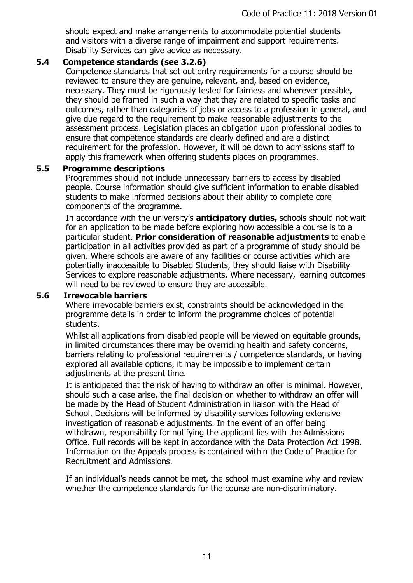should expect and make arrangements to accommodate potential students and visitors with a diverse range of impairment and support requirements. Disability Services can give advice as necessary.

### **5.4 Competence standards (see 3.2.6)**

Competence standards that set out entry requirements for a course should be reviewed to ensure they are genuine, relevant, and, based on evidence, necessary. They must be rigorously tested for fairness and wherever possible, they should be framed in such a way that they are related to specific tasks and outcomes, rather than categories of jobs or access to a profession in general, and give due regard to the requirement to make reasonable adjustments to the assessment process. Legislation places an obligation upon professional bodies to ensure that competence standards are clearly defined and are a distinct requirement for the profession. However, it will be down to admissions staff to apply this framework when offering students places on programmes.

### **5.5 Programme descriptions**

Programmes should not include unnecessary barriers to access by disabled people. Course information should give sufficient information to enable disabled students to make informed decisions about their ability to complete core components of the programme.

In accordance with the university's **anticipatory duties,** schools should not wait for an application to be made before exploring how accessible a course is to a particular student. **Prior consideration of reasonable adjustments** to enable participation in all activities provided as part of a programme of study should be given. Where schools are aware of any facilities or course activities which are potentially inaccessible to Disabled Students, they should liaise with Disability Services to explore reasonable adjustments. Where necessary, learning outcomes will need to be reviewed to ensure they are accessible.

### **5.6 Irrevocable barriers**

Where irrevocable barriers exist, constraints should be acknowledged in the programme details in order to inform the programme choices of potential students.

Whilst all applications from disabled people will be viewed on equitable grounds, in limited circumstances there may be overriding health and safety concerns, barriers relating to professional requirements / competence standards, or having explored all available options, it may be impossible to implement certain adjustments at the present time.

It is anticipated that the risk of having to withdraw an offer is minimal. However, should such a case arise, the final decision on whether to withdraw an offer will be made by the Head of Student Administration in liaison with the Head of School. Decisions will be informed by disability services following extensive investigation of reasonable adjustments. In the event of an offer being withdrawn, responsibility for notifying the applicant lies with the Admissions Office. Full records will be kept in accordance with the Data Protection Act 1998. Information on the Appeals process is contained within the Code of Practice for Recruitment and Admissions.

If an individual's needs cannot be met, the school must examine why and review whether the competence standards for the course are non-discriminatory.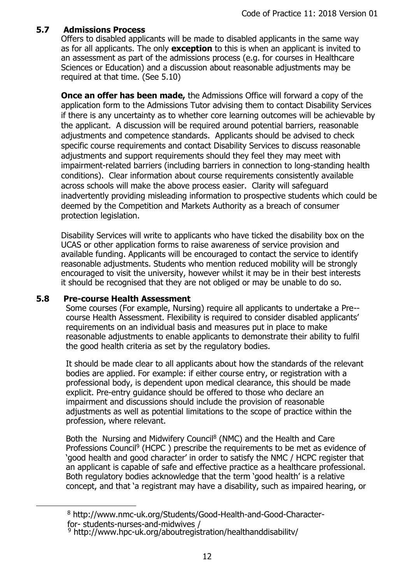### **5.7 Admissions Process**

Offers to disabled applicants will be made to disabled applicants in the same way as for all applicants. The only **exception** to this is when an applicant is invited to an assessment as part of the admissions process (e.g. for courses in Healthcare Sciences or Education) and a discussion about reasonable adjustments may be required at that time. (See 5.10)

**Once an offer has been made,** the Admissions Office will forward a copy of the application form to the Admissions Tutor advising them to contact Disability Services if there is any uncertainty as to whether core learning outcomes will be achievable by the applicant. A discussion will be required around potential barriers, reasonable adjustments and competence standards. Applicants should be advised to check specific course requirements and contact Disability Services to discuss reasonable adjustments and support requirements should they feel they may meet with impairment-related barriers (including barriers in connection to long-standing health conditions). Clear information about course requirements consistently available across schools will make the above process easier. Clarity will safeguard inadvertently providing misleading information to prospective students which could be deemed by the Competition and Markets Authority as a breach of consumer protection legislation.

Disability Services will write to applicants who have ticked the disability box on the UCAS or other application forms to raise awareness of service provision and available funding. Applicants will be encouraged to contact the service to identify reasonable adjustments. Students who mention reduced mobility will be strongly encouraged to visit the university, however whilst it may be in their best interests it should be recognised that they are not obliged or may be unable to do so.

### **5.8 Pre-course Health Assessment**

 $\overline{a}$ 

Some courses (For example, Nursing) require all applicants to undertake a Pre- course Health Assessment. Flexibility is required to consider disabled applicants' requirements on an individual basis and measures put in place to make reasonable adjustments to enable applicants to demonstrate their ability to fulfil the good health criteria as set by the regulatory bodies.

It should be made clear to all applicants about how the standards of the relevant bodies are applied. For example: if either course entry, or registration with a professional body, is dependent upon medical clearance, this should be made explicit. Pre-entry guidance should be offered to those who declare an impairment and discussions should include the provision of reasonable adjustments as well as potential limitations to the scope of practice within the profession, where relevant.

Both the Nursing and Midwifery Council<sup>8</sup> (NMC) and the Health and Care Professions Council<sup>9</sup> (HCPC) prescribe the requirements to be met as evidence of 'good health and good character' in order to satisfy the NMC / HCPC register that an applicant is capable of safe and effective practice as a healthcare professional. Both regulatory bodies acknowledge that the term 'good health' is a relative concept, and that 'a registrant may have a disability, such as impaired hearing, or

#### <sup>8</sup> [http://www.nmc-uk.org/Students/Good-Health-and-Good-Character](http://www.nmc-uk.org/Students/Good-Health-and-Good-Character-for-)[for-](http://www.nmc-uk.org/Students/Good-Health-and-Good-Character-for-) students-nurses-and-midwives /

<sup>&</sup>lt;sup>9</sup> http://www.hpc-uk.org/aboutregistration/healthanddisability/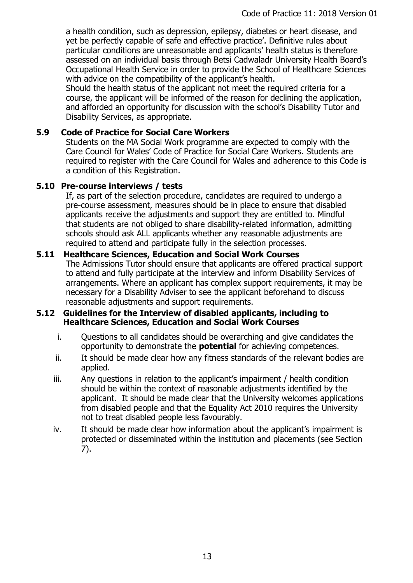a health condition, such as depression, epilepsy, diabetes or heart disease, and yet be perfectly capable of safe and effective practice'. Definitive rules about particular conditions are unreasonable and applicants' health status is therefore assessed on an individual basis through Betsi Cadwaladr University Health Board's Occupational Health Service in order to provide the School of Healthcare Sciences with advice on the compatibility of the applicant's health.

Should the health status of the applicant not meet the required criteria for a course, the applicant will be informed of the reason for declining the application, and afforded an opportunity for discussion with the school's Disability Tutor and Disability Services, as appropriate.

# **5.9 Code of Practice for Social Care Workers**

Students on the MA Social Work programme are expected to comply with the Care Council for Wales' Code of Practice for Social Care Workers. Students are required to register with the Care Council for Wales and adherence to this Code is a condition of this Registration.

### **5.10 Pre-course interviews / tests**

If, as part of the selection procedure, candidates are required to undergo a pre-course assessment, measures should be in place to ensure that disabled applicants receive the adjustments and support they are entitled to. Mindful that students are not obliged to share disability-related information, admitting schools should ask ALL applicants whether any reasonable adjustments are required to attend and participate fully in the selection processes.

### **5.11 Healthcare Sciences, Education and Social Work Courses**

The Admissions Tutor should ensure that applicants are offered practical support to attend and fully participate at the interview and inform Disability Services of arrangements. Where an applicant has complex support requirements, it may be necessary for a Disability Adviser to see the applicant beforehand to discuss reasonable adjustments and support requirements.

### **5.12 Guidelines for the Interview of disabled applicants, including to Healthcare Sciences, Education and Social Work Courses**

- i. Questions to all candidates should be overarching and give candidates the opportunity to demonstrate the **potential** for achieving competences.
- ii. It should be made clear how any fitness standards of the relevant bodies are applied.
- iii. Any questions in relation to the applicant's impairment / health condition should be within the context of reasonable adjustments identified by the applicant. It should be made clear that the University welcomes applications from disabled people and that the Equality Act 2010 requires the University not to treat disabled people less favourably.
- iv. It should be made clear how information about the applicant's impairment is protected or disseminated within the institution and placements (see Section 7).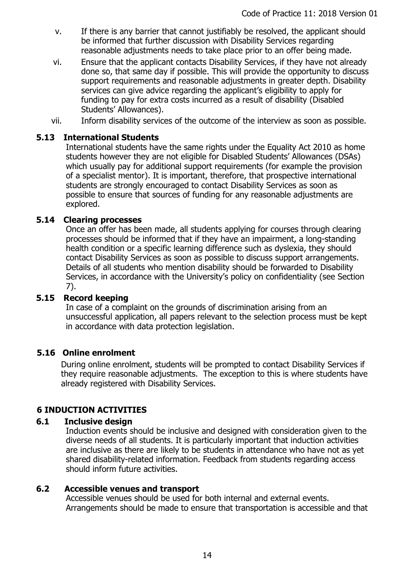- v. If there is any barrier that cannot justifiably be resolved, the applicant should be informed that further discussion with Disability Services regarding reasonable adjustments needs to take place prior to an offer being made.
- vi. Ensure that the applicant contacts Disability Services, if they have not already done so, that same day if possible. This will provide the opportunity to discuss support requirements and reasonable adjustments in greater depth. Disability services can give advice regarding the applicant's eligibility to apply for funding to pay for extra costs incurred as a result of disability (Disabled Students' Allowances).
- vii. Inform disability services of the outcome of the interview as soon as possible.

### **5.13 International Students**

International students have the same rights under the Equality Act 2010 as home students however they are not eligible for Disabled Students' Allowances (DSAs) which usually pay for additional support requirements (for example the provision of a specialist mentor). It is important, therefore, that prospective international students are strongly encouraged to contact Disability Services as soon as possible to ensure that sources of funding for any reasonable adjustments are explored.

### **5.14 Clearing processes**

Once an offer has been made, all students applying for courses through clearing processes should be informed that if they have an impairment, a long-standing health condition or a specific learning difference such as dyslexia, they should contact Disability Services as soon as possible to discuss support arrangements. Details of all students who mention disability should be forwarded to Disability Services, in accordance with the University's policy on confidentiality (see Section 7).

# **5.15 Record keeping**

In case of a complaint on the grounds of discrimination arising from an unsuccessful application, all papers relevant to the selection process must be kept in accordance with data protection legislation.

### **5.16 Online enrolment**

During online enrolment, students will be prompted to contact Disability Services if they require reasonable adjustments. The exception to this is where students have already registered with Disability Services.

# <span id="page-13-0"></span>**6 INDUCTION ACTIVITIES**

### **6.1 Inclusive design**

Induction events should be inclusive and designed with consideration given to the diverse needs of all students. It is particularly important that induction activities are inclusive as there are likely to be students in attendance who have not as yet shared disability-related information. Feedback from students regarding access should inform future activities.

### **6.2 Accessible venues and transport**

Accessible venues should be used for both internal and external events. Arrangements should be made to ensure that transportation is accessible and that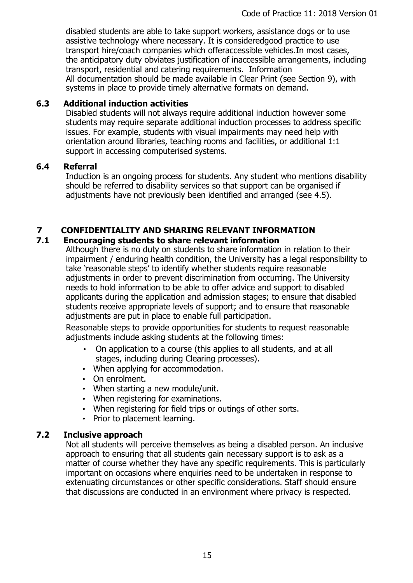disabled students are able to take support workers, assistance dogs or to use assistive technology where necessary. It is consideredgood practice to use transport hire/coach companies which offeraccessible vehicles.In most cases, the anticipatory duty obviates justification of inaccessible arrangements, including transport, residential and catering requirements. Information All documentation should be made available in Clear Print (see Section 9), with systems in place to provide timely alternative formats on demand.

# **6.3 Additional induction activities**

Disabled students will not always require additional induction however some students may require separate additional induction processes to address specific issues. For example, students with visual impairments may need help with orientation around libraries, teaching rooms and facilities, or additional 1:1 support in accessing computerised systems.

# **6.4 Referral**

Induction is an ongoing process for students. Any student who mentions disability should be referred to disability services so that support can be organised if adjustments have not previously been identified and arranged (see 4.5).

# <span id="page-14-0"></span>**7 CONFIDENTIALITY AND SHARING RELEVANT INFORMATION**

# **7.1 Encouraging students to share relevant information**

Although there is no duty on students to share information in relation to their impairment / enduring health condition, the University has a legal responsibility to take 'reasonable steps' to identify whether students require reasonable adjustments in order to prevent discrimination from occurring. The University needs to hold information to be able to offer advice and support to disabled applicants during the application and admission stages; to ensure that disabled students receive appropriate levels of support; and to ensure that reasonable adjustments are put in place to enable full participation.

Reasonable steps to provide opportunities for students to request reasonable adjustments include asking students at the following times:

- On application to a course (this applies to all students, and at all stages, including during Clearing processes).
- When applying for accommodation.
- On enrolment.
- When starting a new module/unit.
- When registering for examinations.
- When registering for field trips or outings of other sorts.
- Prior to placement learning.

# **7.2 Inclusive approach**

Not all students will perceive themselves as being a disabled person. An inclusive approach to ensuring that all students gain necessary support is to ask as a matter of course whether they have any specific requirements. This is particularly important on occasions where enquiries need to be undertaken in response to extenuating circumstances or other specific considerations. Staff should ensure that discussions are conducted in an environment where privacy is respected.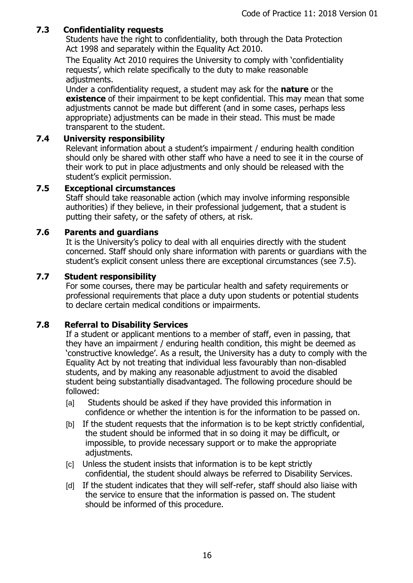# **7.3 Confidentiality requests**

Students have the right to confidentiality, both through the Data Protection Act 1998 and separately within the Equality Act 2010.

The Equality Act 2010 requires the University to comply with 'confidentiality requests', which relate specifically to the duty to make reasonable adjustments.

Under a confidentiality request, a student may ask for the **nature** or the **existence** of their impairment to be kept confidential. This may mean that some adjustments cannot be made but different (and in some cases, perhaps less appropriate) adjustments can be made in their stead. This must be made transparent to the student.

### **7.4 University responsibility**

Relevant information about a student's impairment / enduring health condition should only be shared with other staff who have a need to see it in the course of their work to put in place adjustments and only should be released with the student's explicit permission.

### **7.5 Exceptional circumstances**

Staff should take reasonable action (which may involve informing responsible authorities) if they believe, in their professional judgement, that a student is putting their safety, or the safety of others, at risk.

### **7.6 Parents and guardians**

It is the University's policy to deal with all enquiries directly with the student concerned. Staff should only share information with parents or guardians with the student's explicit consent unless there are exceptional circumstances (see 7.5).

### **7.7 Student responsibility**

For some courses, there may be particular health and safety requirements or professional requirements that place a duty upon students or potential students to declare certain medical conditions or impairments.

# **7.8 Referral to Disability Services**

If a student or applicant mentions to a member of staff, even in passing, that they have an impairment / enduring health condition, this might be deemed as 'constructive knowledge'. As a result, the University has a duty to comply with the Equality Act by not treating that individual less favourably than non-disabled students, and by making any reasonable adjustment to avoid the disabled student being substantially disadvantaged. The following procedure should be followed:

- [a] Students should be asked if they have provided this information in confidence or whether the intention is for the information to be passed on.
- [b] If the student requests that the information is to be kept strictly confidential, the student should be informed that in so doing it may be difficult, or impossible, to provide necessary support or to make the appropriate adjustments.
- [c] Unless the student insists that information is to be kept strictly confidential, the student should always be referred to Disability Services.
- [d] If the student indicates that they will self-refer, staff should also liaise with the service to ensure that the information is passed on. The student should be informed of this procedure.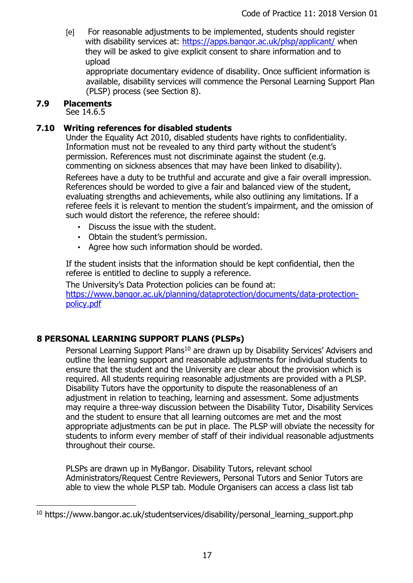[e] For reasonable adjustments to be implemented, students should register with disability services at: https://apps.bangor.ac.uk/plsp/applicant/ when they will be asked to give explicit consent to share information and to upload

appropriate documentary evidence of disability. Once sufficient information is available, disability services will commence the Personal Learning Support Plan (PLSP) process (see Section 8).

### **7.9 Placements**

 $\overline{a}$ 

See 14.6.5

### **7.10 Writing references for disabled students**

Under the Equality Act 2010, disabled students have rights to confidentiality. Information must not be revealed to any third party without the student's permission. References must not discriminate against the student (e.g. commenting on sickness absences that may have been linked to disability).

Referees have a duty to be truthful and accurate and give a fair overall impression. References should be worded to give a fair and balanced view of the student, evaluating strengths and achievements, while also outlining any limitations. If a referee feels it is relevant to mention the student's impairment, and the omission of such would distort the reference, the referee should:

- Discuss the issue with the student.
- Obtain the student's permission.
- Agree how such information should be worded.

If the student insists that the information should be kept confidential, then the referee is entitled to decline to supply a reference.

The University's Data Protection policies can be found at: https://www.bangor.ac.uk/planning/dataprotection/documents/data-protectionpolicy.pdf

# <span id="page-16-0"></span>**8 PERSONAL LEARNING SUPPORT PLANS (PLSPs)**

Personal Learning Support Plans<sup>10</sup> are drawn up by Disability Services' Advisers and outline the learning support and reasonable adjustments for individual students to ensure that the student and the University are clear about the provision which is required. All students requiring reasonable adjustments are provided with a PLSP. Disability Tutors have the opportunity to dispute the reasonableness of an adjustment in relation to teaching, learning and assessment. Some adjustments may require a three-way discussion between the Disability Tutor, Disability Services and the student to ensure that all learning outcomes are met and the most appropriate adjustments can be put in place. The PLSP will obviate the necessity for students to inform every member of staff of their individual reasonable adjustments throughout their course.

PLSPs are drawn up in MyBangor. Disability Tutors, relevant school Administrators/Request Centre Reviewers, Personal Tutors and Senior Tutors are able to view the whole PLSP tab. Module Organisers can access a class list tab

 $10$  https://www.bangor.ac.uk/studentservices/disability/personal learning support.php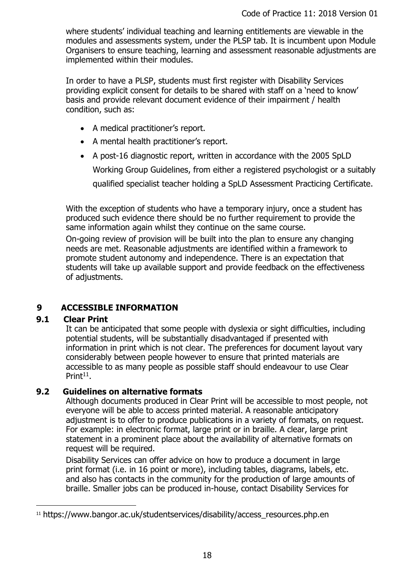where students' individual teaching and learning entitlements are viewable in the modules and assessments system, under the PLSP tab. It is incumbent upon Module Organisers to ensure teaching, learning and assessment reasonable adjustments are implemented within their modules.

In order to have a PLSP, students must first register with Disability Services providing explicit consent for details to be shared with staff on a 'need to know' basis and provide relevant document evidence of their impairment / health condition, such as:

- A medical practitioner's report.
- A mental health practitioner's report.
- A post-16 diagnostic report, written in accordance with the 2005 SpLD

Working Group Guidelines, from either a registered psychologist or a suitably

qualified specialist teacher holding a SpLD Assessment Practicing Certificate.

With the exception of students who have a temporary injury, once a student has produced such evidence there should be no further requirement to provide the same information again whilst they continue on the same course.

On-going review of provision will be built into the plan to ensure any changing needs are met. Reasonable adjustments are identified within a framework to promote student autonomy and independence. There is an expectation that students will take up available support and provide feedback on the effectiveness of adjustments.

# <span id="page-17-0"></span>**9 ACCESSIBLE INFORMATION**

# **9.1 Clear Print**

 $\overline{a}$ 

It can be anticipated that some people with dyslexia or sight difficulties, including potential students, will be substantially disadvantaged if presented with information in print which is not clear. The preferences for document layout vary considerably between people however to ensure that printed materials are accessible to as many people as possible staff should endeavour to use Clear Print<sup>11</sup>.

# **9.2 Guidelines on alternative formats**

Although documents produced in Clear Print will be accessible to most people, not everyone will be able to access printed material. A reasonable anticipatory adjustment is to offer to produce publications in a variety of formats, on request. For example: in electronic format, large print or in braille. A clear, large print statement in a prominent place about the availability of alternative formats on request will be required.

Disability Services can offer advice on how to produce a document in large print format (i.e. in 16 point or more), including tables, diagrams, labels, etc. and also has contacts in the community for the production of large amounts of braille. Smaller jobs can be produced in-house, contact Disability Services for

<sup>&</sup>lt;sup>11</sup> https://www.bangor.ac.uk/studentservices/disability/access\_resources.php.en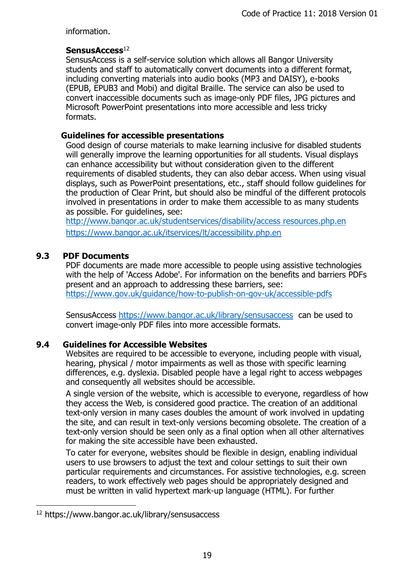information.

### SensusAccess<sup>12</sup>

SensusAccess is a self-service solution which allows all Bangor University students and staff to automatically convert documents into a different format, including converting materials into audio books (MP3 and DAISY), e-books (EPUB, EPUB3 and Mobi) and digital Braille. The service can also be used to convert inaccessible documents such as image-only PDF files, JPG pictures and Microsoft PowerPoint presentations into more accessible and less tricky formats.

# **Guidelines for accessible presentations**

Good design of course materials to make learning inclusive for disabled students will generally improve the learning opportunities for all students. Visual displays can enhance accessibility but without consideration given to the different requirements of disabled students, they can also debar access. When using visual displays, such as PowerPoint presentations, etc., staff should follow guidelines for the production of Clear Print, but should also be mindful of the different protocols involved in presentations in order to make them accessible to as many students as possible. For guidelines, see:

[http://www.banqor.ac.uk/studentservices/disabilitv/access resources.php.en](http://www.banqor.ac.uk/studentservices/disabilitv/access%20resources.php.en) <https://www.bangor.ac.uk/itservices/lt/accessibility.php.en>

# **9.3 PDF Documents**

PDF documents are made more accessible to people using assistive technologies with the help of 'Access Adobe'. For information on the benefits and barriers PDFs present and an approach to addressing these barriers, see: <https://www.gov.uk/guidance/how-to-publish-on-gov-uk/accessible-pdfs>

SensusAccess<https://www.bangor.ac.uk/library/sensusaccess>can be used to convert image-only PDF files into more accessible formats.

# **9.4 Guidelines for Accessible Websites**

Websites are required to be accessible to everyone, including people with visual, hearing, physical / motor impairments as well as those with specific learning differences, e.g. dyslexia. Disabled people have a legal right to access webpages and consequently all websites should be accessible.

A single version of the website, which is accessible to everyone, regardless of how they access the Web, is considered good practice. The creation of an additional text-only version in many cases doubles the amount of work involved in updating the site, and can result in text-only versions becoming obsolete. The creation of a text-only version should be seen only as a final option when all other alternatives for making the site accessible have been exhausted.

To cater for everyone, websites should be flexible in design, enabling individual users to use browsers to adjust the text and colour settings to suit their own particular requirements and circumstances. For assistive technologies, e.g. screen readers, to work effectively web pages should be appropriately designed and must be written in valid hypertext mark-up language (HTML). For further

 $\overline{a}$ 

<sup>12</sup> https://www.bangor.ac.uk/library/sensusaccess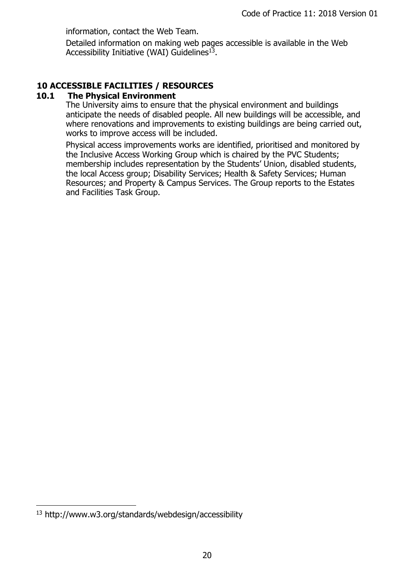information, contact the Web Team.

Detailed information on making web pages accessible is available in the Web Accessibility Initiative (WAI) Guidelines<sup>13</sup>.

# <span id="page-19-0"></span>**10 ACCESSIBLE FACILITIES / RESOURCES**

### **10.1 The Physical Environment**

The University aims to ensure that the physical environment and buildings anticipate the needs of disabled people. All new buildings will be accessible, and where renovations and improvements to existing buildings are being carried out, works to improve access will be included.

Physical access improvements works are identified, prioritised and monitored by the Inclusive Access Working Group which is chaired by the PVC Students; membership includes representation by the Students' Union, disabled students, the local Access group; Disability Services; Health & Safety Services; Human Resources; and Property & Campus Services. The Group reports to the Estates and Facilities Task Group.

 $\overline{a}$ 

<sup>13</sup> http://www.w3.org/standards/webdesign/accessibility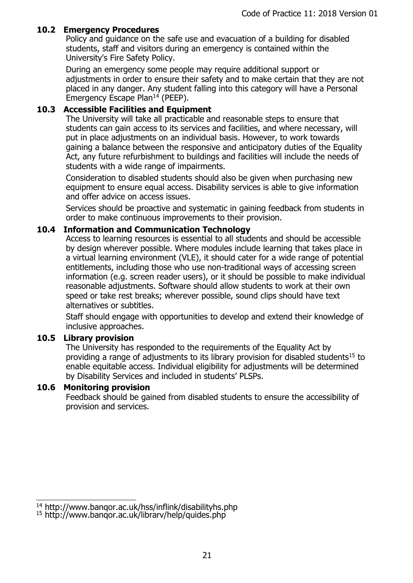### **10.2 Emergency Procedures**

Policy and guidance on the safe use and evacuation of a building for disabled students, staff and visitors during an emergency is contained within the University's Fire Safety Policy.

During an emergency some people may require additional support or adjustments in order to ensure their safety and to make certain that they are not placed in any danger. Any student falling into this category will have a Personal Emergency Escape Plan<sup>14</sup> (PEEP).

### **10.3 Accessible Facilities and Equipment**

The University will take all practicable and reasonable steps to ensure that students can gain access to its services and facilities, and where necessary, will put in place adjustments on an individual basis. However, to work towards gaining a balance between the responsive and anticipatory duties of the Equality Act, any future refurbishment to buildings and facilities will include the needs of students with a wide range of impairments.

Consideration to disabled students should also be given when purchasing new equipment to ensure equal access. Disability services is able to give information and offer advice on access issues.

Services should be proactive and systematic in gaining feedback from students in order to make continuous improvements to their provision.

### **10.4 Information and Communication Technology**

Access to learning resources is essential to all students and should be accessible by design wherever possible. Where modules include learning that takes place in a virtual learning environment (VLE), it should cater for a wide range of potential entitlements, including those who use non-traditional ways of accessing screen information (e.g. screen reader users), or it should be possible to make individual reasonable adjustments. Software should allow students to work at their own speed or take rest breaks; wherever possible, sound clips should have text alternatives or subtitles.

Staff should engage with opportunities to develop and extend their knowledge of inclusive approaches.

### **10.5 Library provision**

The University has responded to the requirements of the Equality Act by providing a range of adjustments to its library provision for disabled students<sup>15</sup> to enable equitable access. Individual eligibility for adjustments will be determined by Disability Services and included in students' PLSPs.

### **10.6 Monitoring provision**

Feedback should be gained from disabled students to ensure the accessibility of provision and services.

 $\overline{\phantom{a}}$ <sup>14</sup> http://www.banqor.ac.uk/hss/inflink/disabilityhs.php

<sup>15</sup> http://www.banqor.ac.uk/librarv/help/quides.php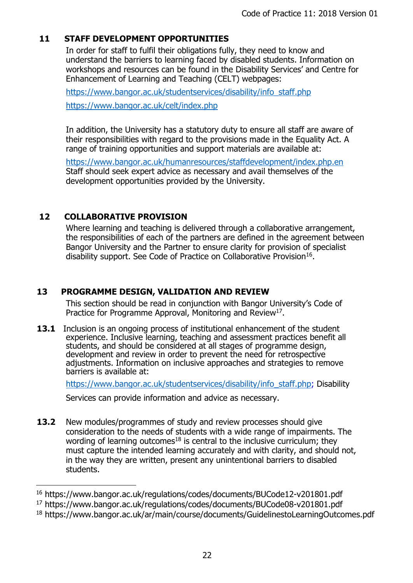# <span id="page-21-0"></span>**11 STAFF DEVELOPMENT OPPORTUNITIES**

In order for staff to fulfil their obligations fully, they need to know and understand the barriers to learning faced by disabled students. Information on workshops and resources can be found in the Disability Services' and Centre for Enhancement of Learning and Teaching (CELT) webpages:

[https://www.bangor.ac.uk/studentservices/disability/info\\_staff.php](https://www.bangor.ac.uk/studentservices/disability/info_staff.php) <https://www.bangor.ac.uk/celt/index.php>

In addition, the University has a statutory duty to ensure all staff are aware of their responsibilities with regard to the provisions made in the Equality Act. A range of training opportunities and support materials are available at:

<https://www.bangor.ac.uk/humanresources/staffdevelopment/index.php.en> Staff should seek expert advice as necessary and avail themselves of the development opportunities provided by the University.

# <span id="page-21-1"></span>**12 COLLABORATIVE PROVISION**

 $\overline{a}$ 

Where learning and teaching is delivered through a collaborative arrangement, the responsibilities of each of the partners are defined in the agreement between Bangor University and the Partner to ensure clarity for provision of specialist disability support. See Code of Practice on Collaborative Provision<sup>16</sup>.

# <span id="page-21-2"></span>**13 PROGRAMME DESIGN, VALIDATION AND REVIEW**

This section should be read in conjunction with Bangor University's Code of Practice for Programme Approval, Monitoring and Review<sup>17</sup>.

**13.1** Inclusion is an ongoing process of institutional enhancement of the student experience. Inclusive learning, teaching and assessment practices benefit all students, and should be considered at all stages of programme design, development and review in order to prevent the need for retrospective adjustments. Information on inclusive approaches and strategies to remove barriers is available at:

[https://www.bangor.ac.uk/studentservices/disability/info\\_staff.php;](https://www.bangor.ac.uk/studentservices/disability/info_staff.php) Disability

Services can provide information and advice as necessary.

**13.2** New modules/programmes of study and review processes should give consideration to the needs of students with a wide range of impairments. The wording of learning outcomes<sup>18</sup> is central to the inclusive curriculum; they must capture the intended learning accurately and with clarity, and should not, in the way they are written, present any unintentional barriers to disabled students.

<sup>16</sup> https://www.bangor.ac.uk/regulations/codes/documents/BUCode12-v201801.pdf

<sup>17</sup> https://www.bangor.ac.uk/regulations/codes/documents/BUCode08-v201801.pdf

<sup>18</sup> https://www.bangor.ac.uk/ar/main/course/documents/GuidelinestoLearningOutcomes.pdf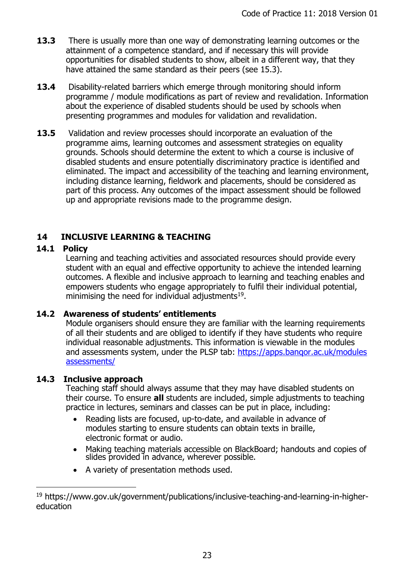- **13.3** There is usually more than one way of demonstrating learning outcomes or the attainment of a competence standard, and if necessary this will provide opportunities for disabled students to show, albeit in a different way, that they have attained the same standard as their peers (see 15.3).
- **13.4** Disability-related barriers which emerge through monitoring should inform programme / module modifications as part of review and revalidation. Information about the experience of disabled students should be used by schools when presenting programmes and modules for validation and revalidation.
- **13.5** Validation and review processes should incorporate an evaluation of the programme aims, learning outcomes and assessment strategies on equality grounds. Schools should determine the extent to which a course is inclusive of disabled students and ensure potentially discriminatory practice is identified and eliminated. The impact and accessibility of the teaching and learning environment, including distance learning, fieldwork and placements, should be considered as part of this process. Any outcomes of the impact assessment should be followed up and appropriate revisions made to the programme design.

# <span id="page-22-0"></span>**14 INCLUSIVE LEARNING & TEACHING**

# **14.1 Policy**

 $\overline{a}$ 

Learning and teaching activities and associated resources should provide every student with an equal and effective opportunity to achieve the intended learning outcomes. A flexible and inclusive approach to learning and teaching enables and empowers students who engage appropriately to fulfil their individual potential, minimising the need for individual adjustments $19$ .

# **14.2 Awareness of students' entitlements**

Module organisers should ensure they are familiar with the learning requirements of all their students and are obliged to identify if they have students who require individual reasonable adjustments. This information is viewable in the modules and assessments system, under the PLSP tab: https://apps.bangor.ac.uk/modules assessments/

# **14.3 Inclusive approach**

Teaching staff should always assume that they may have disabled students on their course. To ensure **all** students are included, simple adjustments to teaching practice in lectures, seminars and classes can be put in place, including:

- Reading lists are focused, up-to-date, and available in advance of modules starting to ensure students can obtain texts in braille, electronic format or audio.
- Making teaching materials accessible on BlackBoard; handouts and copies of slides provided in advance, wherever possible.
- A variety of presentation methods used.

<sup>19</sup> [https://www.gov.uk/government/publications/inclusive-teaching-and-learning-in-higher](https://www.gov.uk/government/publications/inclusive-teaching-and-learning-in-higher-education)[education](https://www.gov.uk/government/publications/inclusive-teaching-and-learning-in-higher-education)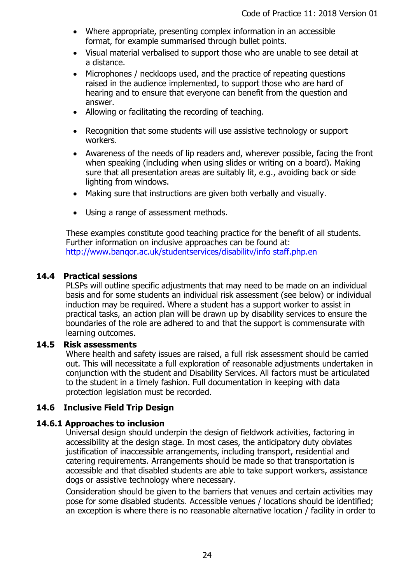- Where appropriate, presenting complex information in an accessible format, for example summarised through bullet points.
- Visual material verbalised to support those who are unable to see detail at a distance.
- Microphones / neckloops used, and the practice of repeating questions raised in the audience implemented, to support those who are hard of hearing and to ensure that everyone can benefit from the question and answer.
- Allowing or facilitating the recording of teaching.
- Recognition that some students will use assistive technology or support workers.
- Awareness of the needs of lip readers and, wherever possible, facing the front when speaking (including when using slides or writing on a board). Making sure that all presentation areas are suitably lit, e.g., avoiding back or side lighting from windows.
- Making sure that instructions are given both verbally and visually.
- Using a range of assessment methods.

These examples constitute good teaching practice for the benefit of all students. Further information on inclusive approaches can be found at: <http://www.banqor.ac.uk/studentservices/disabilitv/info> staff.php.en

### **14.4 Practical sessions**

PLSPs will outline specific adjustments that may need to be made on an individual basis and for some students an individual risk assessment (see below) or individual induction may be required. Where a student has a support worker to assist in practical tasks, an action plan will be drawn up by disability services to ensure the boundaries of the role are adhered to and that the support is commensurate with learning outcomes.

### **14.5 Risk assessments**

Where health and safety issues are raised, a full risk assessment should be carried out. This will necessitate a full exploration of reasonable adjustments undertaken in conjunction with the student and Disability Services. All factors must be articulated to the student in a timely fashion. Full documentation in keeping with data protection legislation must be recorded.

# **14.6 Inclusive Field Trip Design**

### **14.6.1 Approaches to inclusion**

Universal design should underpin the design of fieldwork activities, factoring in accessibility at the design stage. In most cases, the anticipatory duty obviates justification of inaccessible arrangements, including transport, residential and catering requirements. Arrangements should be made so that transportation is accessible and that disabled students are able to take support workers, assistance dogs or assistive technology where necessary.

Consideration should be given to the barriers that venues and certain activities may pose for some disabled students. Accessible venues / locations should be identified; an exception is where there is no reasonable alternative location / facility in order to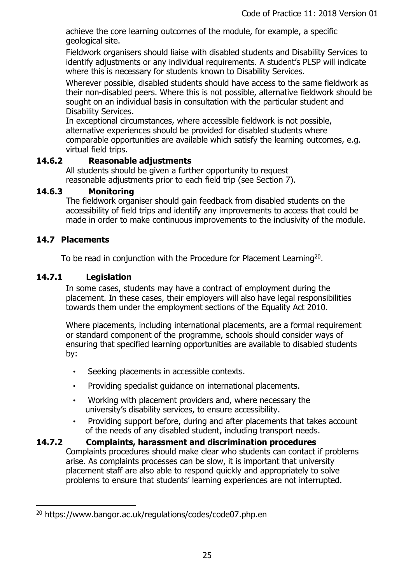achieve the core learning outcomes of the module, for example, a specific geological site.

Fieldwork organisers should liaise with disabled students and Disability Services to identify adjustments or any individual requirements. A student's PLSP will indicate where this is necessary for students known to Disability Services.

Wherever possible, disabled students should have access to the same fieldwork as their non-disabled peers. Where this is not possible, alternative fieldwork should be sought on an individual basis in consultation with the particular student and Disability Services.

In exceptional circumstances, where accessible fieldwork is not possible, alternative experiences should be provided for disabled students where comparable opportunities are available which satisfy the learning outcomes, e.g. virtual field trips.

### **14.6.2 Reasonable adjustments**

All students should be given a further opportunity to request reasonable adjustments prior to each field trip (see Section 7).

### **14.6.3 Monitoring**

The fieldwork organiser should gain feedback from disabled students on the accessibility of field trips and identify any improvements to access that could be made in order to make continuous improvements to the inclusivity of the module.

# **14.7 Placements**

 $\overline{a}$ 

To be read in conjunction with the Procedure for Placement Learning<sup>20</sup>.

### **14.7.1 Legislation**

In some cases, students may have a contract of employment during the placement. In these cases, their employers will also have legal responsibilities towards them under the employment sections of the Equality Act 2010.

Where placements, including international placements, are a formal requirement or standard component of the programme, schools should consider ways of ensuring that specified learning opportunities are available to disabled students by:

- Seeking placements in accessible contexts.
- Providing specialist guidance on international placements.
- Working with placement providers and, where necessary the university's disability services, to ensure accessibility.
- Providing support before, during and after placements that takes account of the needs of any disabled student, including transport needs.

### **14.7.2 Complaints, harassment and discrimination procedures** Complaints procedures should make clear who students can contact if problems arise. As complaints processes can be slow, it is important that university placement staff are also able to respond quickly and appropriately to solve problems to ensure that students' learning experiences are not interrupted.

<sup>20</sup> https://www.bangor.ac.uk/regulations/codes/code07.php.en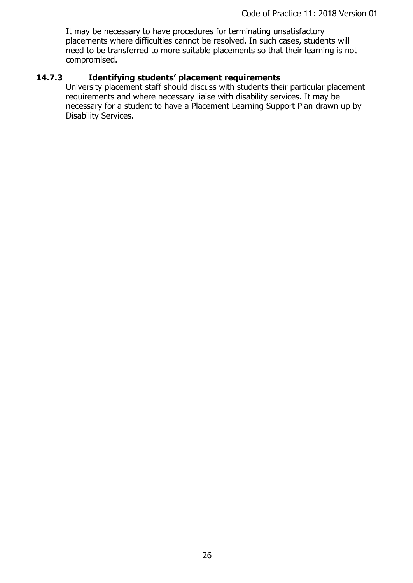It may be necessary to have procedures for terminating unsatisfactory placements where difficulties cannot be resolved. In such cases, students will need to be transferred to more suitable placements so that their learning is not compromised.

# **14.7.3 Identifying students' placement requirements**

University placement staff should discuss with students their particular placement requirements and where necessary liaise with disability services. It may be necessary for a student to have a Placement Learning Support Plan drawn up by Disability Services.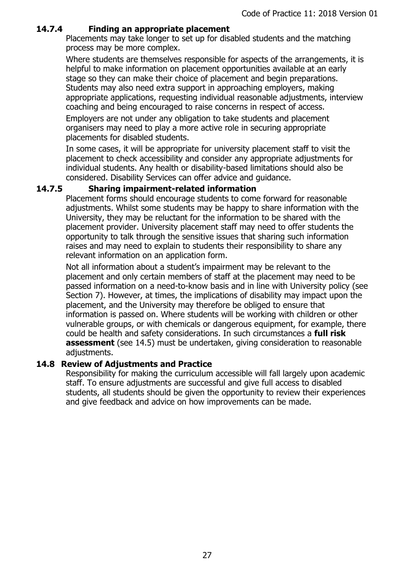### **14.7.4 Finding an appropriate placement**

Placements may take longer to set up for disabled students and the matching process may be more complex.

Where students are themselves responsible for aspects of the arrangements, it is helpful to make information on placement opportunities available at an early stage so they can make their choice of placement and begin preparations. Students may also need extra support in approaching employers, making appropriate applications, requesting individual reasonable adjustments, interview coaching and being encouraged to raise concerns in respect of access.

Employers are not under any obligation to take students and placement organisers may need to play a more active role in securing appropriate placements for disabled students.

In some cases, it will be appropriate for university placement staff to visit the placement to check accessibility and consider any appropriate adjustments for individual students. Any health or disability-based limitations should also be considered. Disability Services can offer advice and guidance.

# **14.7.5 Sharing impairment-related information**

Placement forms should encourage students to come forward for reasonable adjustments. Whilst some students may be happy to share information with the University, they may be reluctant for the information to be shared with the placement provider. University placement staff may need to offer students the opportunity to talk through the sensitive issues that sharing such information raises and may need to explain to students their responsibility to share any relevant information on an application form.

Not all information about a student's impairment may be relevant to the placement and only certain members of staff at the placement may need to be passed information on a need-to-know basis and in line with University policy (see Section 7). However, at times, the implications of disability may impact upon the placement, and the University may therefore be obliged to ensure that information is passed on. Where students will be working with children or other vulnerable groups, or with chemicals or dangerous equipment, for example, there could be health and safety considerations. In such circumstances a **full risk assessment** (see 14.5) must be undertaken, giving consideration to reasonable adjustments.

### **14.8 Review of Adjustments and Practice**

Responsibility for making the curriculum accessible will fall largely upon academic staff. To ensure adjustments are successful and give full access to disabled students, all students should be given the opportunity to review their experiences and give feedback and advice on how improvements can be made.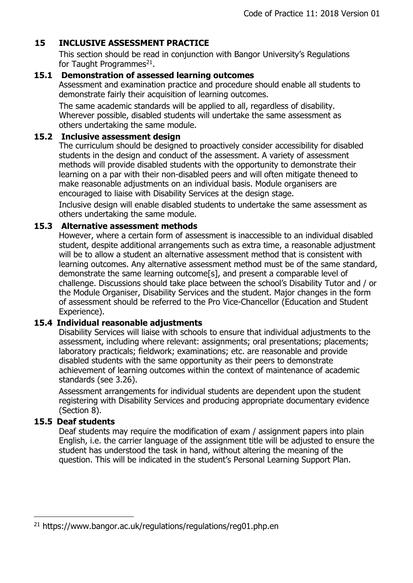# <span id="page-27-0"></span>**15 INCLUSIVE ASSESSMENT PRACTICE**

This section should be read in conjunction with Bangor University's Regulations for Taught Programmes<sup>21</sup>.

# **15.1 Demonstration of assessed learning outcomes**

Assessment and examination practice and procedure should enable all students to demonstrate fairly their acquisition of learning outcomes.

The same academic standards will be applied to all, regardless of disability. Wherever possible, disabled students will undertake the same assessment as others undertaking the same module.

### **15.2 Inclusive assessment design**

The curriculum should be designed to proactively consider accessibility for disabled students in the design and conduct of the assessment. A variety of assessment methods will provide disabled students with the opportunity to demonstrate their learning on a par with their non-disabled peers and will often mitigate theneed to make reasonable adjustments on an individual basis. Module organisers are encouraged to liaise with Disability Services at the design stage.

Inclusive design will enable disabled students to undertake the same assessment as others undertaking the same module.

### **15.3 Alternative assessment methods**

However, where a certain form of assessment is inaccessible to an individual disabled student, despite additional arrangements such as extra time, a reasonable adjustment will be to allow a student an alternative assessment method that is consistent with learning outcomes. Any alternative assessment method must be of the same standard, demonstrate the same learning outcome[s], and present a comparable level of challenge. Discussions should take place between the school's Disability Tutor and / or the Module Organiser, Disability Services and the student. Major changes in the form of assessment should be referred to the Pro Vice-Chancellor (Education and Student Experience).

# **15.4 Individual reasonable adjustments**

Disability Services will liaise with schools to ensure that individual adjustments to the assessment, including where relevant: assignments; oral presentations; placements; laboratory practicals; fieldwork; examinations; etc. are reasonable and provide disabled students with the same opportunity as their peers to demonstrate achievement of learning outcomes within the context of maintenance of academic standards (see 3.26).

Assessment arrangements for individual students are dependent upon the student registering with Disability Services and producing appropriate documentary evidence (Section 8).

# **15.5 Deaf students**

 $\overline{a}$ 

Deaf students may require the modification of exam / assignment papers into plain English, i.e. the carrier language of the assignment title will be adjusted to ensure the student has understood the task in hand, without altering the meaning of the question. This will be indicated in the student's Personal Learning Support Plan.

 $21$  https://www.bangor.ac.uk/regulations/regulations/reg01.php.en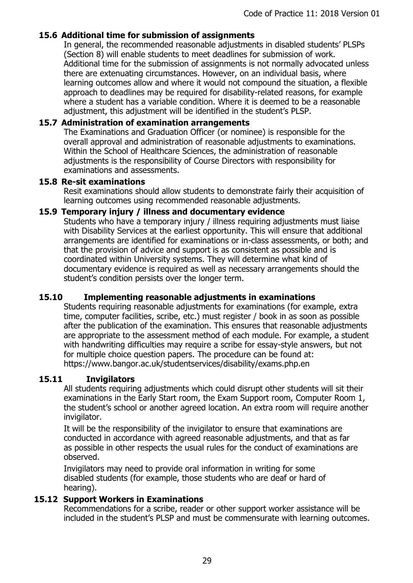### **15.6 Additional time for submission of assignments**

In general, the recommended reasonable adjustments in disabled students' PLSPs (Section 8) will enable students to meet deadlines for submission of work. Additional time for the submission of assignments is not normally advocated unless there are extenuating circumstances. However, on an individual basis, where learning outcomes allow and where it would not compound the situation, a flexible approach to deadlines may be required for disability-related reasons, for example where a student has a variable condition. Where it is deemed to be a reasonable adjustment, this adjustment will be identified in the student's PLSP.

### **15.7 Administration of examination arrangements**

The Examinations and Graduation Officer (or nominee) is responsible for the overall approval and administration of reasonable adjustments to examinations. Within the School of Healthcare Sciences, the administration of reasonable adjustments is the responsibility of Course Directors with responsibility for examinations and assessments.

#### **15.8 Re-sit examinations**

Resit examinations should allow students to demonstrate fairly their acquisition of learning outcomes using recommended reasonable adjustments.

#### **15.9 Temporary injury / illness and documentary evidence**

Students who have a temporary injury / illness requiring adjustments must liaise with Disability Services at the earliest opportunity. This will ensure that additional arrangements are identified for examinations or in-class assessments, or both; and that the provision of advice and support is as consistent as possible and is coordinated within University systems. They will determine what kind of documentary evidence is required as well as necessary arrangements should the student's condition persists over the longer term.

### **15.10 Implementing reasonable adjustments in examinations**

Students requiring reasonable adjustments for examinations (for example, extra time, computer facilities, scribe, etc.) must register / book in as soon as possible after the publication of the examination. This ensures that reasonable adjustments are appropriate to the assessment method of each module. For example, a student with handwriting difficulties may require a scribe for essay-style answers, but not for multiple choice question papers. The procedure can be found at: https://www.bangor.ac.uk/studentservices/disability/exams.php.en

### **15.11 Invigilators**

All students requiring adjustments which could disrupt other students will sit their examinations in the Early Start room, the Exam Support room, Computer Room 1, the student's school or another agreed location. An extra room will require another invigilator.

It will be the responsibility of the invigilator to ensure that examinations are conducted in accordance with agreed reasonable adjustments, and that as far as possible in other respects the usual rules for the conduct of examinations are observed.

Invigilators may need to provide oral information in writing for some disabled students (for example, those students who are deaf or hard of hearing).

### **15.12 Support Workers in Examinations**

Recommendations for a scribe, reader or other support worker assistance will be included in the student's PLSP and must be commensurate with learning outcomes.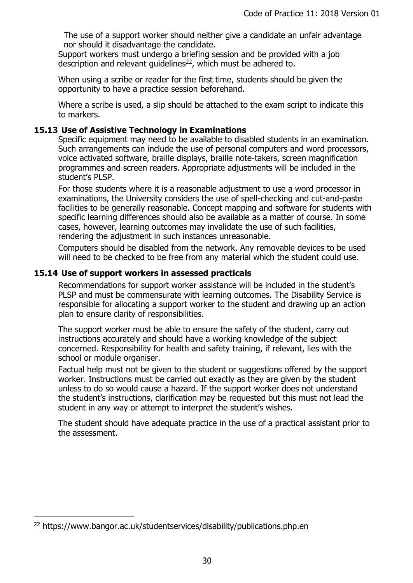The use of a support worker should neither give a candidate an unfair advantage nor should it disadvantage the candidate.

Support workers must undergo a briefing session and be provided with a job description and relevant quidelines<sup>22</sup>, which must be adhered to.

When using a scribe or reader for the first time, students should be given the opportunity to have a practice session beforehand.

Where a scribe is used, a slip should be attached to the exam script to indicate this to markers.

### **15.13 Use of Assistive Technology in Examinations**

Specific equipment may need to be available to disabled students in an examination. Such arrangements can include the use of personal computers and word processors, voice activated software, braille displays, braille note-takers, screen magnification programmes and screen readers. Appropriate adjustments will be included in the student's PLSP.

For those students where it is a reasonable adjustment to use a word processor in examinations, the University considers the use of spell-checking and cut-and-paste facilities to be generally reasonable. Concept mapping and software for students with specific learning differences should also be available as a matter of course. In some cases, however, learning outcomes may invalidate the use of such facilities, rendering the adjustment in such instances unreasonable.

Computers should be disabled from the network. Any removable devices to be used will need to be checked to be free from any material which the student could use.

### **15.14 Use of support workers in assessed practicals**

Recommendations for support worker assistance will be included in the student's PLSP and must be commensurate with learning outcomes. The Disability Service is responsible for allocating a support worker to the student and drawing up an action plan to ensure clarity of responsibilities.

The support worker must be able to ensure the safety of the student, carry out instructions accurately and should have a working knowledge of the subject concerned. Responsibility for health and safety training, if relevant, lies with the school or module organiser.

Factual help must not be given to the student or suggestions offered by the support worker. Instructions must be carried out exactly as they are given by the student unless to do so would cause a hazard. If the support worker does not understand the student's instructions, clarification may be requested but this must not lead the student in any way or attempt to interpret the student's wishes.

The student should have adequate practice in the use of a practical assistant prior to the assessment.

 $\overline{a}$ 

<sup>22</sup> https://www.bangor.ac.uk/studentservices/disability/publications.php.en